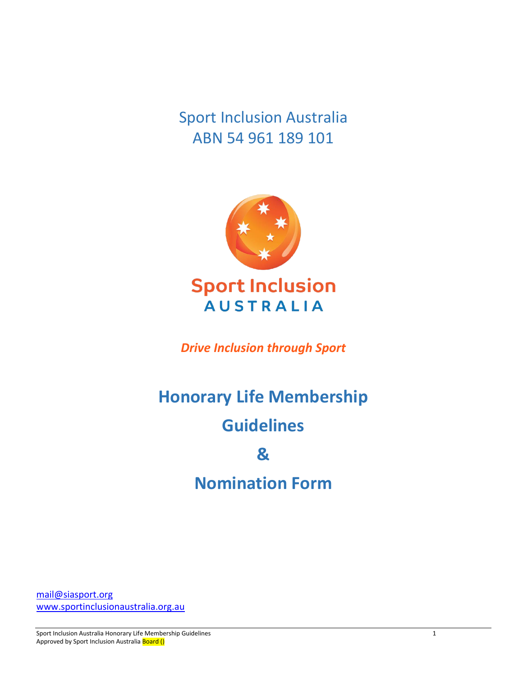Sport Inclusion Australia ABN 54 961 189 101



**Sport Inclusion AUSTRALIA** 

*Drive Inclusion through Sport*

# **Honorary Life Membership**

# **Guidelines**

# **&**

# **Nomination Form**

[mail@siasport.org](mailto:mail@siasport.org) [www.sportinclusionaustralia.org.au](http://www.sportinclusionaustralia.org.au/) 

Sport Inclusion Australia Honorary Life Membership Guidelines 1 Approved by Sport Inclusion Australia Board ()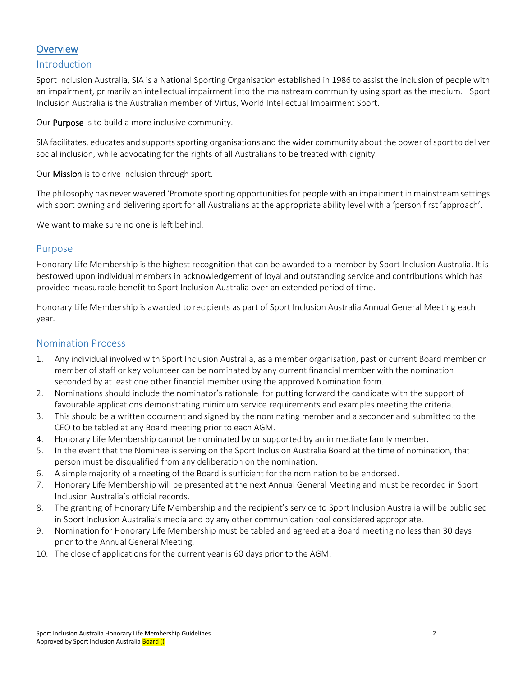# **Overview**

#### Introduction

Sport Inclusion Australia, SIA is a National Sporting Organisation established in 1986 to assist the inclusion of people with an impairment, primarily an intellectual impairment into the mainstream community using sport as the medium. Sport Inclusion Australia is the Australian member of Virtus, World Intellectual Impairment Sport.

Our **Purpose** is to build a more inclusive community.

SIA facilitates, educates and supports sporting organisations and the wider community about the power of sport to deliver social inclusion, while advocating for the rights of all Australians to be treated with dignity.

Our Mission is to drive inclusion through sport.

The philosophy has never wavered 'Promote sporting opportunities for people with an impairment in mainstream settings with sport owning and delivering sport for all Australians at the appropriate ability level with a 'person first 'approach'.

We want to make sure no one is left behind.

#### Purpose

Honorary Life Membership is the highest recognition that can be awarded to a member by Sport Inclusion Australia. It is bestowed upon individual members in acknowledgement of loyal and outstanding service and contributions which has provided measurable benefit to Sport Inclusion Australia over an extended period of time.

Honorary Life Membership is awarded to recipients as part of Sport Inclusion Australia Annual General Meeting each year.

#### Nomination Process

- 1. Any individual involved with Sport Inclusion Australia, as a member organisation, past or current Board member or member of staff or key volunteer can be nominated by any current financial member with the nomination seconded by at least one other financial member using the approved Nomination form.
- 2. Nominations should include the nominator's rationale for putting forward the candidate with the support of favourable applications demonstrating minimum service requirements and examples meeting the criteria.
- 3. This should be a written document and signed by the nominating member and a seconder and submitted to the CEO to be tabled at any Board meeting prior to each AGM.
- 4. Honorary Life Membership cannot be nominated by or supported by an immediate family member.
- 5. In the event that the Nominee is serving on the Sport Inclusion Australia Board at the time of nomination, that person must be disqualified from any deliberation on the nomination.
- 6. A simple majority of a meeting of the Board is sufficient for the nomination to be endorsed.
- 7. Honorary Life Membership will be presented at the next Annual General Meeting and must be recorded in Sport Inclusion Australia's official records.
- 8. The granting of Honorary Life Membership and the recipient's service to Sport Inclusion Australia will be publicised in Sport Inclusion Australia's media and by any other communication tool considered appropriate.
- 9. Nomination for Honorary Life Membership must be tabled and agreed at a Board meeting no less than 30 days prior to the Annual General Meeting.
- 10. The close of applications for the current year is 60 days prior to the AGM.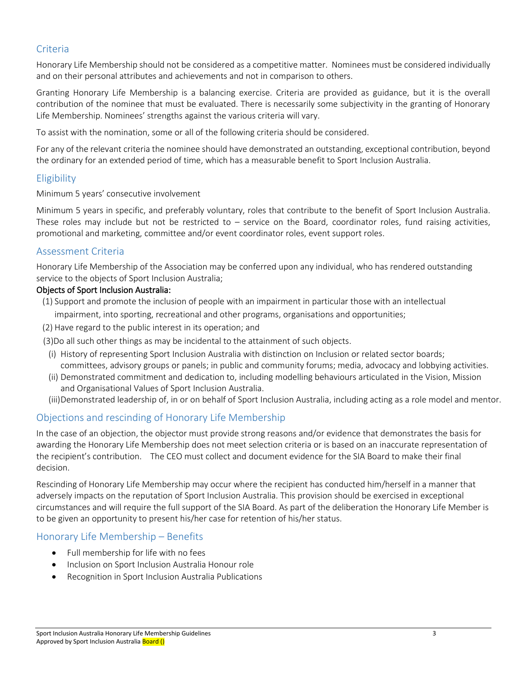# Criteria

Honorary Life Membership should not be considered as a competitive matter. Nominees must be considered individually and on their personal attributes and achievements and not in comparison to others.

Granting Honorary Life Membership is a balancing exercise. Criteria are provided as guidance, but it is the overall contribution of the nominee that must be evaluated. There is necessarily some subjectivity in the granting of Honorary Life Membership. Nominees' strengths against the various criteria will vary.

To assist with the nomination, some or all of the following criteria should be considered.

For any of the relevant criteria the nominee should have demonstrated an outstanding, exceptional contribution, beyond the ordinary for an extended period of time, which has a measurable benefit to Sport Inclusion Australia.

### Eligibility

Minimum 5 years' consecutive involvement

Minimum 5 years in specific, and preferably voluntary, roles that contribute to the benefit of Sport Inclusion Australia. These roles may include but not be restricted to  $-$  service on the Board, coordinator roles, fund raising activities, promotional and marketing, committee and/or event coordinator roles, event support roles.

### Assessment Criteria

Honorary Life Membership of the Association may be conferred upon any individual, who has rendered outstanding service to the objects of Sport Inclusion Australia;

#### Objects of Sport Inclusion Australia:

- (1) Support and promote the inclusion of people with an impairment in particular those with an intellectual impairment, into sporting, recreational and other programs, organisations and opportunities;
- (2) Have regard to the public interest in its operation; and
- (3)Do all such other things as may be incidental to the attainment of such objects.
	- (i) History of representing Sport Inclusion Australia with distinction on Inclusion or related sector boards; committees, advisory groups or panels; in public and community forums; media, advocacy and lobbying activities.
- (ii) Demonstrated commitment and dedication to, including modelling behaviours articulated in the Vision, Mission and Organisational Values of Sport Inclusion Australia.
- (iii)Demonstrated leadership of, in or on behalf of Sport Inclusion Australia, including acting as a role model and mentor.

# Objections and rescinding of Honorary Life Membership

In the case of an objection, the objector must provide strong reasons and/or evidence that demonstrates the basis for awarding the Honorary Life Membership does not meet selection criteria or is based on an inaccurate representation of the recipient's contribution. The CEO must collect and document evidence for the SIA Board to make their final decision.

Rescinding of Honorary Life Membership may occur where the recipient has conducted him/herself in a manner that adversely impacts on the reputation of Sport Inclusion Australia. This provision should be exercised in exceptional circumstances and will require the full support of the SIA Board. As part of the deliberation the Honorary Life Member is to be given an opportunity to present his/her case for retention of his/her status.

# Honorary Life Membership – Benefits

- Full membership for life with no fees
- Inclusion on Sport Inclusion Australia Honour role
- Recognition in Sport Inclusion Australia Publications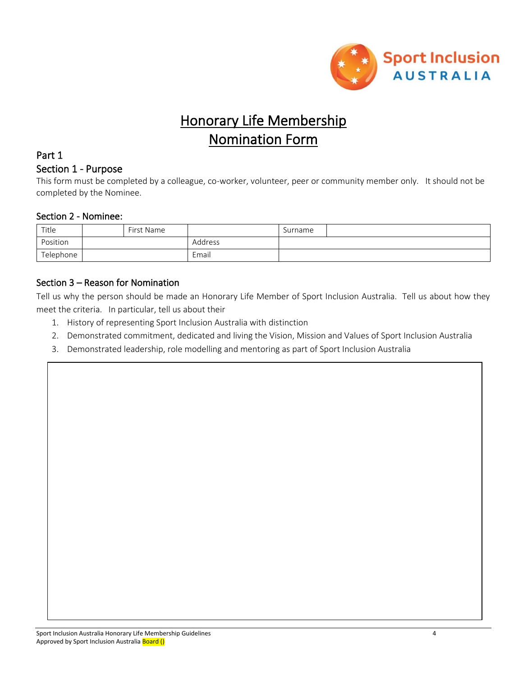

# Honorary Life Membership Nomination Form

## Part 1

#### Section 1 - Purpose

This form must be completed by a colleague, co-worker, volunteer, peer or community member only. It should not be completed by the Nominee.

#### Section 2 - Nominee:

| Title     | First Name |         | Surname |  |
|-----------|------------|---------|---------|--|
| Position  |            | Address |         |  |
| Telephone |            | Email   |         |  |

#### Section 3 – Reason for Nomination

Tell us why the person should be made an Honorary Life Member of Sport Inclusion Australia. Tell us about how they meet the criteria. In particular, tell us about their

- 1. History of representing Sport Inclusion Australia with distinction
- 2. Demonstrated commitment, dedicated and living the Vision, Mission and Values of Sport Inclusion Australia
- 3. Demonstrated leadership, role modelling and mentoring as part of Sport Inclusion Australia